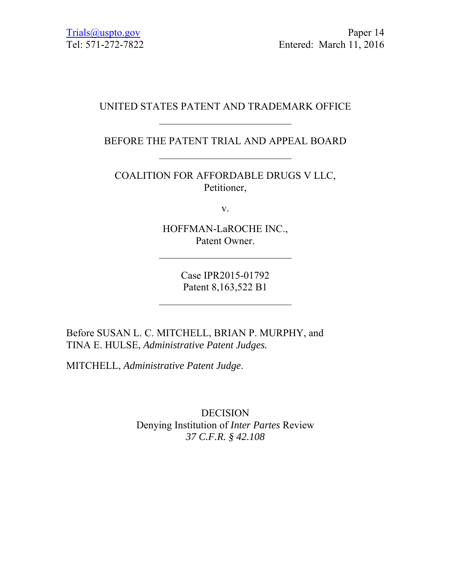# UNITED STATES PATENT AND TRADEMARK OFFICE

BEFORE THE PATENT TRIAL AND APPEAL BOARD

COALITION FOR AFFORDABLE DRUGS V LLC, Petitioner,

v.

HOFFMAN-LaROCHE INC., Patent Owner.

> Case IPR2015-01792 Patent 8,163,522 B1

Before SUSAN L. C. MITCHELL, BRIAN P. MURPHY, and TINA E. HULSE, *Administrative Patent Judges.*

MITCHELL, *Administrative Patent Judge*.

DECISION Denying Institution of *Inter Partes* Review *37 C.F.R. § 42.108*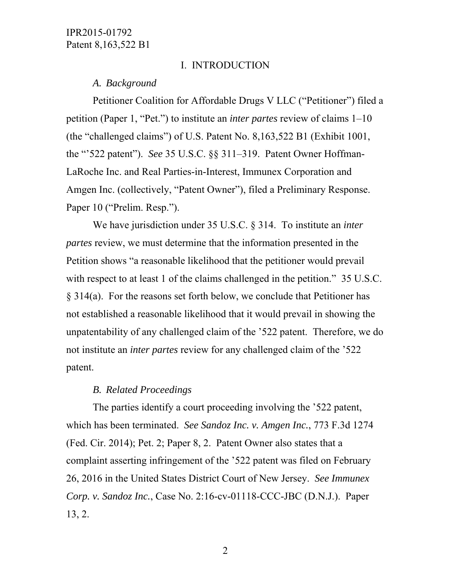#### I. INTRODUCTION

#### *A. Background*

Petitioner Coalition for Affordable Drugs V LLC ("Petitioner") filed a petition (Paper 1, "Pet.") to institute an *inter partes* review of claims 1–10 (the "challenged claims") of U.S. Patent No. 8,163,522 B1 (Exhibit 1001, the "'522 patent"). *See* 35 U.S.C. §§ 311–319. Patent Owner Hoffman-LaRoche Inc. and Real Parties-in-Interest, Immunex Corporation and Amgen Inc. (collectively, "Patent Owner"), filed a Preliminary Response. Paper 10 ("Prelim. Resp.").

 We have jurisdiction under 35 U.S.C. § 314. To institute an *inter partes* review, we must determine that the information presented in the Petition shows "a reasonable likelihood that the petitioner would prevail with respect to at least 1 of the claims challenged in the petition." 35 U.S.C. § 314(a). For the reasons set forth below, we conclude that Petitioner has not established a reasonable likelihood that it would prevail in showing the unpatentability of any challenged claim of the '522 patent. Therefore, we do not institute an *inter partes* review for any challenged claim of the '522 patent.

#### *B. Related Proceedings*

The parties identify a court proceeding involving the '522 patent, which has been terminated. *See Sandoz Inc. v. Amgen Inc.*, 773 F.3d 1274 (Fed. Cir. 2014); Pet. 2; Paper 8, 2. Patent Owner also states that a complaint asserting infringement of the '522 patent was filed on February 26, 2016 in the United States District Court of New Jersey. *See Immunex Corp. v. Sandoz Inc.*, Case No. 2:16-cv-01118-CCC-JBC (D.N.J.). Paper 13, 2.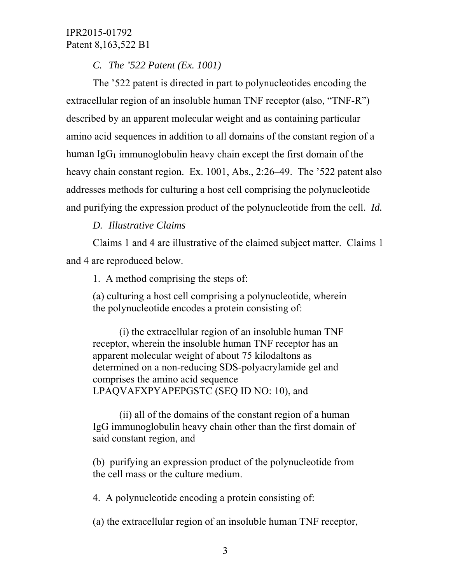*C. The '522 Patent (Ex. 1001)*

The '522 patent is directed in part to polynucleotides encoding the extracellular region of an insoluble human TNF receptor (also, "TNF-R") described by an apparent molecular weight and as containing particular amino acid sequences in addition to all domains of the constant region of a human  $IgG_1$  immunoglobulin heavy chain except the first domain of the heavy chain constant region. Ex. 1001, Abs., 2:26–49. The '522 patent also addresses methods for culturing a host cell comprising the polynucleotide and purifying the expression product of the polynucleotide from the cell. *Id.*

# *D. Illustrative Claims*

Claims 1 and 4 are illustrative of the claimed subject matter. Claims 1 and 4 are reproduced below.

1. A method comprising the steps of:

(a) culturing a host cell comprising a polynucleotide, wherein the polynucleotide encodes a protein consisting of:

(i) the extracellular region of an insoluble human TNF receptor, wherein the insoluble human TNF receptor has an apparent molecular weight of about 75 kilodaltons as determined on a non-reducing SDS-polyacrylamide gel and comprises the amino acid sequence LPAQVAFXPYAPEPGSTC (SEQ ID NO: 10), and

(ii) all of the domains of the constant region of a human IgG immunoglobulin heavy chain other than the first domain of said constant region, and

(b) purifying an expression product of the polynucleotide from the cell mass or the culture medium.

4. A polynucleotide encoding a protein consisting of:

(a) the extracellular region of an insoluble human TNF receptor,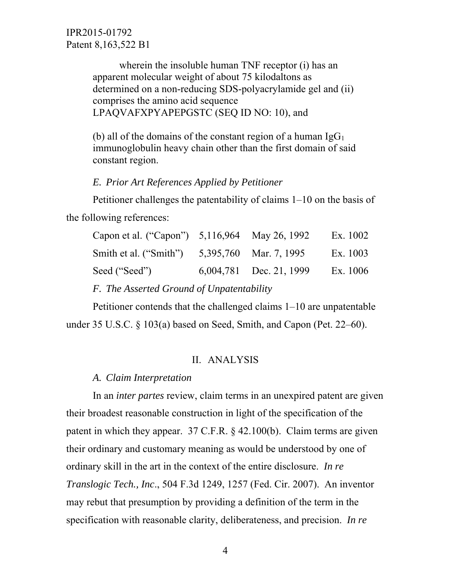> wherein the insoluble human TNF receptor (i) has an apparent molecular weight of about 75 kilodaltons as determined on a non-reducing SDS-polyacrylamide gel and (ii) comprises the amino acid sequence LPAQVAFXPYAPEPGSTC (SEQ ID NO: 10), and

> (b) all of the domains of the constant region of a human  $IgG_1$ immunoglobulin heavy chain other than the first domain of said constant region.

#### *E. Prior Art References Applied by Petitioner*

Petitioner challenges the patentability of claims 1–10 on the basis of the following references:

| Capon et al. ("Capon") 5,116,964 May 26, 1992 |                         | Ex. 1002 |
|-----------------------------------------------|-------------------------|----------|
| Smith et al. ("Smith")                        | 5,395,760 Mar. 7, 1995  | Ex. 1003 |
| Seed ("Seed")                                 | 6,004,781 Dec. 21, 1999 | Ex. 1006 |
|                                               |                         |          |

*F. The Asserted Ground of Unpatentability*

Petitioner contends that the challenged claims 1–10 are unpatentable under 35 U.S.C. § 103(a) based on Seed, Smith, and Capon (Pet. 22–60).

#### II. ANALYSIS

#### *A. Claim Interpretation*

In an *inter partes* review, claim terms in an unexpired patent are given their broadest reasonable construction in light of the specification of the patent in which they appear. 37 C.F.R. § 42.100(b). Claim terms are given their ordinary and customary meaning as would be understood by one of ordinary skill in the art in the context of the entire disclosure. *In re Translogic Tech., Inc*., 504 F.3d 1249, 1257 (Fed. Cir. 2007). An inventor may rebut that presumption by providing a definition of the term in the specification with reasonable clarity, deliberateness, and precision. *In re*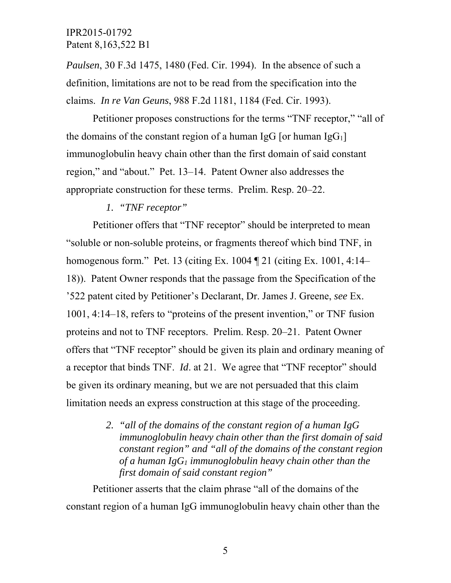*Paulsen*, 30 F.3d 1475, 1480 (Fed. Cir. 1994). In the absence of such a definition, limitations are not to be read from the specification into the claims. *In re Van Geuns*, 988 F.2d 1181, 1184 (Fed. Cir. 1993).

Petitioner proposes constructions for the terms "TNF receptor," "all of the domains of the constant region of a human IgG [or human IgG<sub>1</sub>] immunoglobulin heavy chain other than the first domain of said constant region," and "about." Pet. 13–14. Patent Owner also addresses the appropriate construction for these terms. Prelim. Resp. 20–22.

#### *1. "TNF receptor"*

Petitioner offers that "TNF receptor" should be interpreted to mean "soluble or non-soluble proteins, or fragments thereof which bind TNF, in homogenous form." Pet. 13 (citing Ex. 1004 ¶ 21 (citing Ex. 1001, 4:14– 18)). Patent Owner responds that the passage from the Specification of the '522 patent cited by Petitioner's Declarant, Dr. James J. Greene, *see* Ex. 1001, 4:14–18, refers to "proteins of the present invention," or TNF fusion proteins and not to TNF receptors. Prelim. Resp. 20–21. Patent Owner offers that "TNF receptor" should be given its plain and ordinary meaning of a receptor that binds TNF. *Id*. at 21. We agree that "TNF receptor" should be given its ordinary meaning, but we are not persuaded that this claim limitation needs an express construction at this stage of the proceeding.

> *2. "all of the domains of the constant region of a human IgG immunoglobulin heavy chain other than the first domain of said constant region" and "all of the domains of the constant region of a human IgG1 immunoglobulin heavy chain other than the first domain of said constant region"*

Petitioner asserts that the claim phrase "all of the domains of the constant region of a human IgG immunoglobulin heavy chain other than the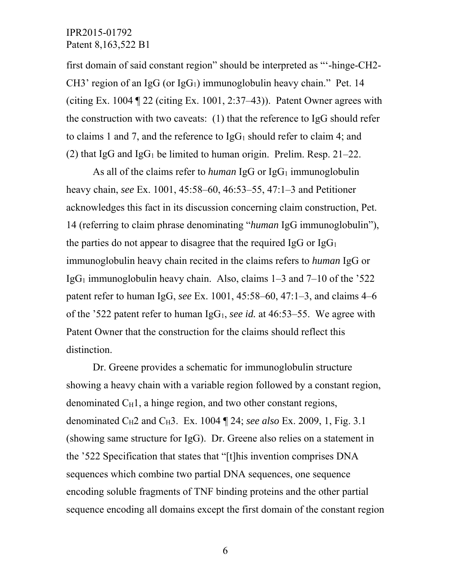first domain of said constant region" should be interpreted as "'-hinge-CH2- CH3' region of an IgG (or IgG<sub>1</sub>) immunoglobulin heavy chain." Pet. 14 (citing Ex. 1004  $\mathbb{Z}$  22 (citing Ex. 1001, 2:37–43)). Patent Owner agrees with the construction with two caveats: (1) that the reference to IgG should refer to claims 1 and 7, and the reference to  $IgG_1$  should refer to claim 4; and (2) that IgG and IgG<sub>1</sub> be limited to human origin. Prelim. Resp.  $21-22$ .

As all of the claims refer to *human* IgG or  $\lg G_1$  immunoglobulin heavy chain, *see* Ex. 1001, 45:58–60, 46:53–55, 47:1–3 and Petitioner acknowledges this fact in its discussion concerning claim construction, Pet. 14 (referring to claim phrase denominating "*human* IgG immunoglobulin"), the parties do not appear to disagree that the required IgG or  $IgG<sub>1</sub>$ immunoglobulin heavy chain recited in the claims refers to *human* IgG or Ig $G_1$  immunoglobulin heavy chain. Also, claims  $1-3$  and  $7-10$  of the  $322$ patent refer to human IgG, *see* Ex. 1001, 45:58–60, 47:1–3, and claims 4–6 of the '522 patent refer to human IgG1, *see id.* at 46:53–55. We agree with Patent Owner that the construction for the claims should reflect this distinction.

Dr. Greene provides a schematic for immunoglobulin structure showing a heavy chain with a variable region followed by a constant region, denominated  $C_H1$ , a hinge region, and two other constant regions, denominated C<sub>H</sub>2 and C<sub>H</sub>3. Ex. 1004  $\P$  24; *see also* Ex. 2009, 1, Fig. 3.1 (showing same structure for IgG). Dr. Greene also relies on a statement in the '522 Specification that states that "[t]his invention comprises DNA sequences which combine two partial DNA sequences, one sequence encoding soluble fragments of TNF binding proteins and the other partial sequence encoding all domains except the first domain of the constant region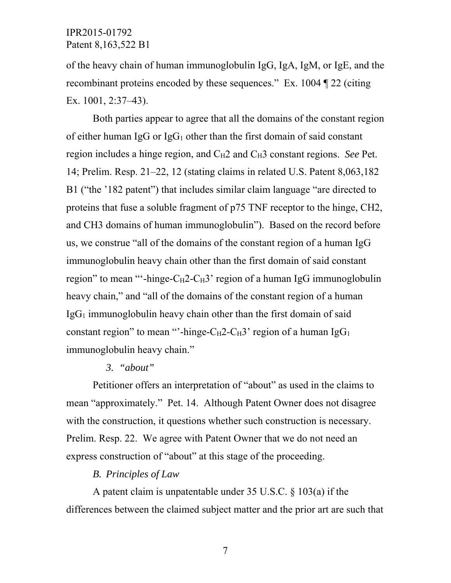of the heavy chain of human immunoglobulin IgG, IgA, IgM, or IgE, and the recombinant proteins encoded by these sequences." Ex. 1004 ¶ 22 (citing Ex. 1001, 2:37–43).

Both parties appear to agree that all the domains of the constant region of either human IgG or  $IgG_1$  other than the first domain of said constant region includes a hinge region, and C<sub>H</sub>2 and C<sub>H</sub>3 constant regions. *See* Pet. 14; Prelim. Resp. 21–22, 12 (stating claims in related U.S. Patent 8,063,182 B1 ("the '182 patent") that includes similar claim language "are directed to proteins that fuse a soluble fragment of p75 TNF receptor to the hinge, CH2, and CH3 domains of human immunoglobulin"). Based on the record before us, we construe "all of the domains of the constant region of a human IgG immunoglobulin heavy chain other than the first domain of said constant region" to mean "'-hinge- $C_H$ 2- $C_H$ 3' region of a human IgG immunoglobulin heavy chain," and "all of the domains of the constant region of a human  $IgG<sub>1</sub>$  immunoglobulin heavy chain other than the first domain of said constant region" to mean "'-hinge- $C_H$ 2- $C_H$ 3' region of a human IgG<sub>1</sub> immunoglobulin heavy chain."

### *3. "about"*

Petitioner offers an interpretation of "about" as used in the claims to mean "approximately." Pet. 14. Although Patent Owner does not disagree with the construction, it questions whether such construction is necessary. Prelim. Resp. 22. We agree with Patent Owner that we do not need an express construction of "about" at this stage of the proceeding.

## *B. Principles of Law*

A patent claim is unpatentable under 35 U.S.C. § 103(a) if the differences between the claimed subject matter and the prior art are such that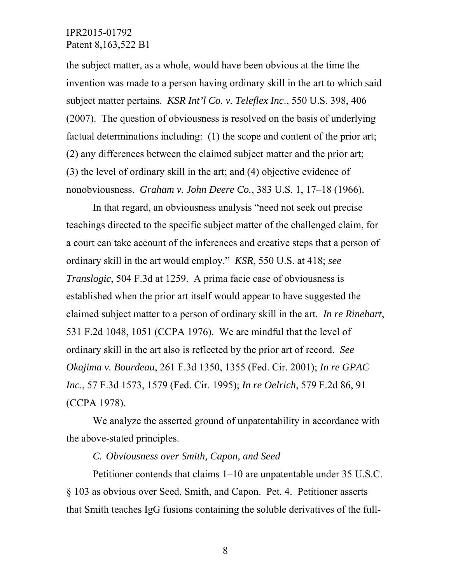the subject matter, as a whole, would have been obvious at the time the invention was made to a person having ordinary skill in the art to which said subject matter pertains. *KSR Int'l Co. v. Teleflex Inc*., 550 U.S. 398, 406 (2007). The question of obviousness is resolved on the basis of underlying factual determinations including: (1) the scope and content of the prior art; (2) any differences between the claimed subject matter and the prior art; (3) the level of ordinary skill in the art; and (4) objective evidence of nonobviousness. *Graham v. John Deere Co.*, 383 U.S. 1, 17–18 (1966).

In that regard, an obviousness analysis "need not seek out precise teachings directed to the specific subject matter of the challenged claim, for a court can take account of the inferences and creative steps that a person of ordinary skill in the art would employ." *KSR*, 550 U.S. at 418; *see Translogic*, 504 F.3d at 1259. A prima facie case of obviousness is established when the prior art itself would appear to have suggested the claimed subject matter to a person of ordinary skill in the art. *In re Rinehart*, 531 F.2d 1048, 1051 (CCPA 1976). We are mindful that the level of ordinary skill in the art also is reflected by the prior art of record. *See Okajima v. Bourdeau*, 261 F.3d 1350, 1355 (Fed. Cir. 2001); *In re GPAC Inc*., 57 F.3d 1573, 1579 (Fed. Cir. 1995); *In re Oelrich*, 579 F.2d 86, 91 (CCPA 1978).

We analyze the asserted ground of unpatentability in accordance with the above-stated principles.

#### *C. Obviousness over Smith, Capon, and Seed*

Petitioner contends that claims 1–10 are unpatentable under 35 U.S.C. § 103 as obvious over Seed, Smith, and Capon. Pet. 4. Petitioner asserts that Smith teaches IgG fusions containing the soluble derivatives of the full-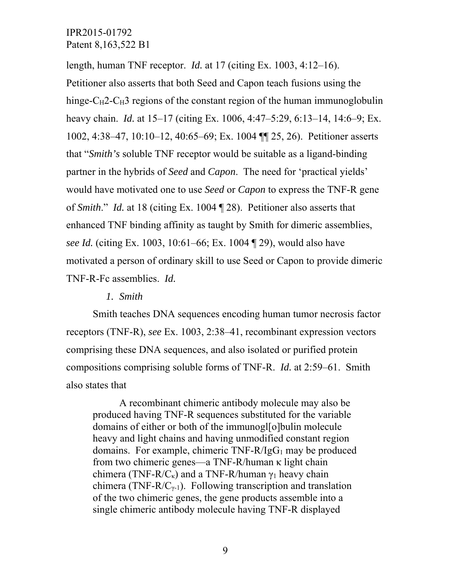length, human TNF receptor. *Id.* at 17 (citing Ex. 1003, 4:12–16). Petitioner also asserts that both Seed and Capon teach fusions using the hinge- $C_H$ 2- $C_H$ 3 regions of the constant region of the human immunoglobulin heavy chain. *Id.* at 15–17 (citing Ex. 1006, 4:47–5:29, 6:13–14, 14:6–9; Ex. 1002, 4:38–47, 10:10–12, 40:65–69; Ex. 1004 ¶¶ 25, 26). Petitioner asserts that "*Smith's* soluble TNF receptor would be suitable as a ligand-binding partner in the hybrids of *Seed* and *Capon*. The need for 'practical yields' would have motivated one to use *Seed* or *Capon* to express the TNF-R gene of *Smith*." *Id.* at 18 (citing Ex. 1004 ¶ 28). Petitioner also asserts that enhanced TNF binding affinity as taught by Smith for dimeric assemblies, *see Id.* (citing Ex. 1003, 10:61–66; Ex. 1004 ¶ 29), would also have motivated a person of ordinary skill to use Seed or Capon to provide dimeric TNF-R-Fc assemblies. *Id.*

#### *1. Smith*

Smith teaches DNA sequences encoding human tumor necrosis factor receptors (TNF-R), *see* Ex. 1003, 2:38–41, recombinant expression vectors comprising these DNA sequences, and also isolated or purified protein compositions comprising soluble forms of TNF-R. *Id.* at 2:59–61. Smith also states that

A recombinant chimeric antibody molecule may also be produced having TNF-R sequences substituted for the variable domains of either or both of the immunogl[o]bulin molecule heavy and light chains and having unmodified constant region domains. For example, chimeric  $TNF-R/IgG_1$  may be produced from two chimeric genes—a TNF-R/human κ light chain chimera (TNF-R/C<sub>K</sub>) and a TNF-R/human  $\gamma_1$  heavy chain chimera (TNF-R/ $C_{\gamma-1}$ ). Following transcription and translation of the two chimeric genes, the gene products assemble into a single chimeric antibody molecule having TNF-R displayed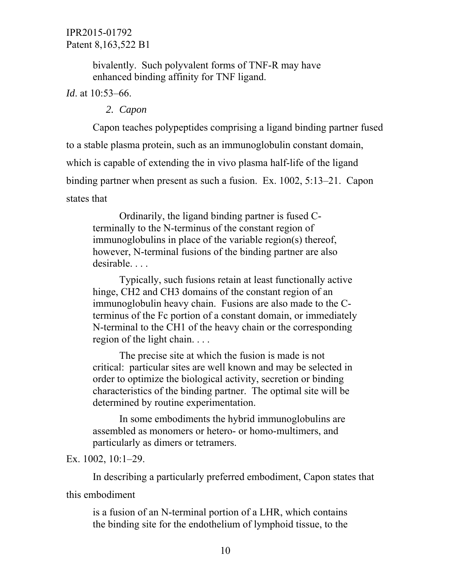bivalently. Such polyvalent forms of TNF-R may have enhanced binding affinity for TNF ligand.

*Id*. at 10:53–66.

### *2. Capon*

Capon teaches polypeptides comprising a ligand binding partner fused to a stable plasma protein, such as an immunoglobulin constant domain, which is capable of extending the in vivo plasma half-life of the ligand binding partner when present as such a fusion. Ex. 1002, 5:13–21. Capon states that

Ordinarily, the ligand binding partner is fused Cterminally to the N-terminus of the constant region of immunoglobulins in place of the variable region(s) thereof, however, N-terminal fusions of the binding partner are also desirable. . . .

Typically, such fusions retain at least functionally active hinge, CH2 and CH3 domains of the constant region of an immunoglobulin heavy chain. Fusions are also made to the Cterminus of the Fc portion of a constant domain, or immediately N-terminal to the CH1 of the heavy chain or the corresponding region of the light chain. . . .

The precise site at which the fusion is made is not critical: particular sites are well known and may be selected in order to optimize the biological activity, secretion or binding characteristics of the binding partner. The optimal site will be determined by routine experimentation.

In some embodiments the hybrid immunoglobulins are assembled as monomers or hetero- or homo-multimers, and particularly as dimers or tetramers.

#### Ex. 1002, 10:1–29.

In describing a particularly preferred embodiment, Capon states that this embodiment

is a fusion of an N-terminal portion of a LHR, which contains the binding site for the endothelium of lymphoid tissue, to the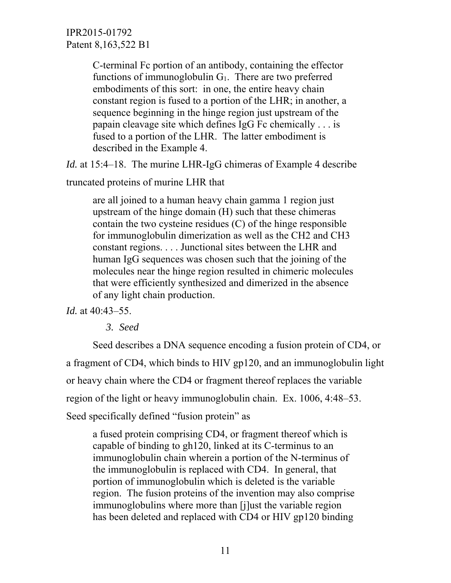> C-terminal Fc portion of an antibody, containing the effector functions of immunoglobulin  $G_1$ . There are two preferred embodiments of this sort: in one, the entire heavy chain constant region is fused to a portion of the LHR; in another, a sequence beginning in the hinge region just upstream of the papain cleavage site which defines IgG Fc chemically . . . is fused to a portion of the LHR. The latter embodiment is described in the Example 4.

*Id.* at 15:4–18. The murine LHR-IgG chimeras of Example 4 describe

truncated proteins of murine LHR that

are all joined to a human heavy chain gamma 1 region just upstream of the hinge domain (H) such that these chimeras contain the two cysteine residues (C) of the hinge responsible for immunoglobulin dimerization as well as the CH2 and CH3 constant regions. . . . Junctional sites between the LHR and human IgG sequences was chosen such that the joining of the molecules near the hinge region resulted in chimeric molecules that were efficiently synthesized and dimerized in the absence of any light chain production.

## *Id.* at 40:43–55.

*3. Seed* 

 Seed describes a DNA sequence encoding a fusion protein of CD4, or a fragment of CD4, which binds to HIV gp120, and an immunoglobulin light or heavy chain where the CD4 or fragment thereof replaces the variable region of the light or heavy immunoglobulin chain. Ex. 1006, 4:48–53. Seed specifically defined "fusion protein" as

a fused protein comprising CD4, or fragment thereof which is capable of binding to gh120, linked at its C-terminus to an immunoglobulin chain wherein a portion of the N-terminus of the immunoglobulin is replaced with CD4. In general, that portion of immunoglobulin which is deleted is the variable region. The fusion proteins of the invention may also comprise immunoglobulins where more than [j]ust the variable region has been deleted and replaced with CD4 or HIV gp120 binding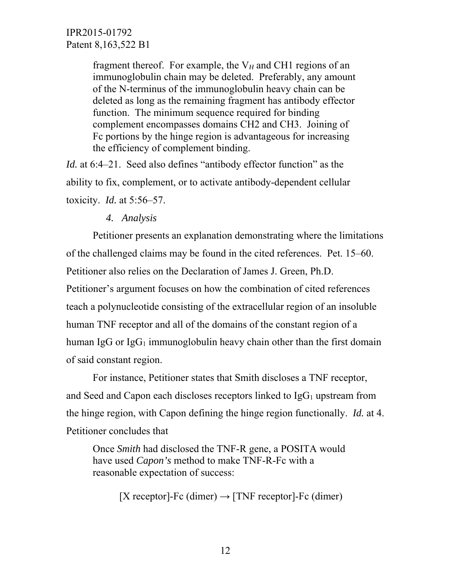> fragment thereof. For example, the  $V_H$  and CH1 regions of an immunoglobulin chain may be deleted. Preferably, any amount of the N-terminus of the immunoglobulin heavy chain can be deleted as long as the remaining fragment has antibody effector function. The minimum sequence required for binding complement encompasses domains CH2 and CH3. Joining of Fc portions by the hinge region is advantageous for increasing the efficiency of complement binding.

*Id.* at 6:4–21. Seed also defines "antibody effector function" as the ability to fix, complement, or to activate antibody-dependent cellular toxicity. *Id.* at 5:56–57.

### *4. Analysis*

Petitioner presents an explanation demonstrating where the limitations of the challenged claims may be found in the cited references. Pet. 15–60. Petitioner also relies on the Declaration of James J. Green, Ph.D. Petitioner's argument focuses on how the combination of cited references teach a polynucleotide consisting of the extracellular region of an insoluble human TNF receptor and all of the domains of the constant region of a human IgG or  $I \nsubseteq G_1$  immunoglobulin heavy chain other than the first domain of said constant region.

For instance, Petitioner states that Smith discloses a TNF receptor, and Seed and Capon each discloses receptors linked to  $I_{\text{g}}G_1$  upstream from the hinge region, with Capon defining the hinge region functionally. *Id.* at 4. Petitioner concludes that

Once *Smith* had disclosed the TNF-R gene, a POSITA would have used *Capon's* method to make TNF-R-Fc with a reasonable expectation of success:

[X receptor]-Fc (dimer)  $\rightarrow$  [TNF receptor]-Fc (dimer)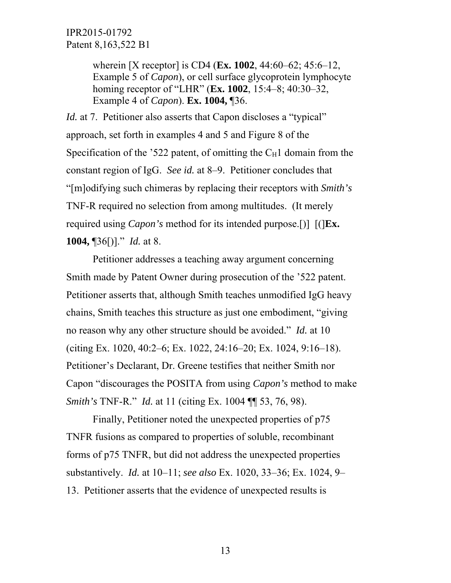> wherein [X receptor] is CD4 (**Ex. 1002**, 44:60–62; 45:6–12, Example 5 of *Capon*), or cell surface glycoprotein lymphocyte homing receptor of "LHR" (**Ex. 1002**, 15:4–8; 40:30–32, Example 4 of *Capon*). **Ex. 1004,** ¶36.

*Id.* at 7. Petitioner also asserts that Capon discloses a "typical" approach, set forth in examples 4 and 5 and Figure 8 of the Specification of the '522 patent, of omitting the  $C_H1$  domain from the constant region of IgG. *See id.* at 8–9. Petitioner concludes that "[m]odifying such chimeras by replacing their receptors with *Smith's* TNF-R required no selection from among multitudes. (It merely required using *Capon's* method for its intended purpose.[)] [(]**Ex. 1004,** ¶36[)]." *Id.* at 8.

 Petitioner addresses a teaching away argument concerning Smith made by Patent Owner during prosecution of the '522 patent. Petitioner asserts that, although Smith teaches unmodified IgG heavy chains, Smith teaches this structure as just one embodiment, "giving no reason why any other structure should be avoided." *Id.* at 10 (citing Ex. 1020, 40:2–6; Ex. 1022, 24:16–20; Ex. 1024, 9:16–18). Petitioner's Declarant, Dr. Greene testifies that neither Smith nor Capon "discourages the POSITA from using *Capon's* method to make *Smith's* TNF-R." *Id.* at 11 (citing Ex. 1004 ¶¶ 53, 76, 98).

Finally, Petitioner noted the unexpected properties of p75 TNFR fusions as compared to properties of soluble, recombinant forms of p75 TNFR, but did not address the unexpected properties substantively. *Id.* at 10–11; *see also* Ex. 1020, 33–36; Ex. 1024, 9– 13. Petitioner asserts that the evidence of unexpected results is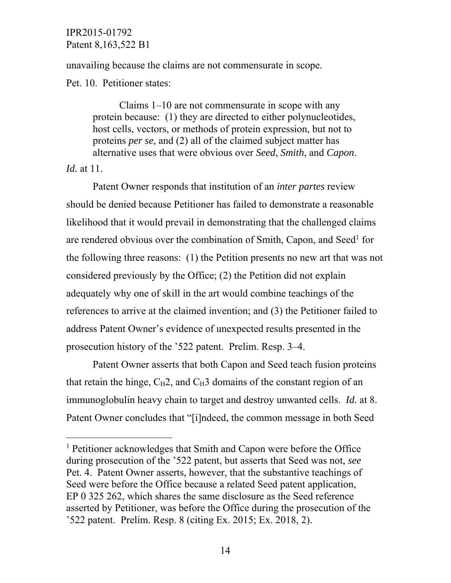unavailing because the claims are not commensurate in scope.

Pet. 10. Petitioner states:

Claims 1–10 are not commensurate in scope with any protein because: (1) they are directed to either polynucleotides, host cells, vectors, or methods of protein expression, but not to proteins *per se*, and (2) all of the claimed subject matter has alternative uses that were obvious over *Seed*, *Smith*, and *Capon*.

*Id.* at 11.

-

Patent Owner responds that institution of an *inter partes* review should be denied because Petitioner has failed to demonstrate a reasonable likelihood that it would prevail in demonstrating that the challenged claims are rendered obvious over the combination of Smith, Capon, and Seed<sup>1</sup> for the following three reasons: (1) the Petition presents no new art that was not considered previously by the Office; (2) the Petition did not explain adequately why one of skill in the art would combine teachings of the references to arrive at the claimed invention; and (3) the Petitioner failed to address Patent Owner's evidence of unexpected results presented in the prosecution history of the '522 patent. Prelim. Resp. 3–4.

Patent Owner asserts that both Capon and Seed teach fusion proteins that retain the hinge,  $C_H2$ , and  $C_H3$  domains of the constant region of an immunoglobulin heavy chain to target and destroy unwanted cells. *Id.* at 8. Patent Owner concludes that "[i]ndeed, the common message in both Seed

<sup>&</sup>lt;sup>1</sup> Petitioner acknowledges that Smith and Capon were before the Office during prosecution of the '522 patent, but asserts that Seed was not, *see* Pet. 4. Patent Owner asserts, however, that the substantive teachings of Seed were before the Office because a related Seed patent application, EP 0 325 262, which shares the same disclosure as the Seed reference asserted by Petitioner, was before the Office during the prosecution of the '522 patent. Prelim. Resp. 8 (citing Ex. 2015; Ex. 2018, 2).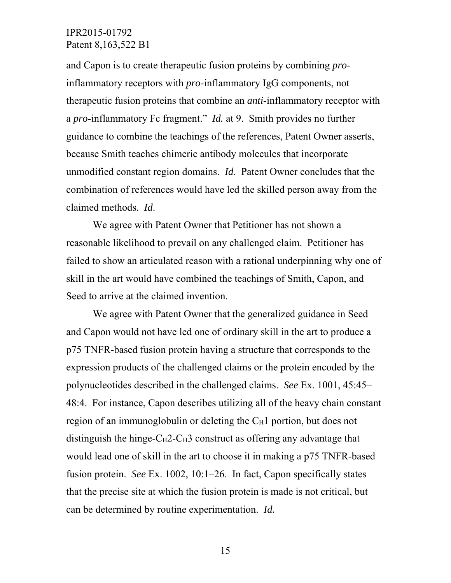and Capon is to create therapeutic fusion proteins by combining *pro*inflammatory receptors with *pro*-inflammatory IgG components, not therapeutic fusion proteins that combine an *anti*-inflammatory receptor with a *pro*-inflammatory Fc fragment." *Id.* at 9. Smith provides no further guidance to combine the teachings of the references, Patent Owner asserts, because Smith teaches chimeric antibody molecules that incorporate unmodified constant region domains. *Id*. Patent Owner concludes that the combination of references would have led the skilled person away from the claimed methods. *Id*.

 We agree with Patent Owner that Petitioner has not shown a reasonable likelihood to prevail on any challenged claim. Petitioner has failed to show an articulated reason with a rational underpinning why one of skill in the art would have combined the teachings of Smith, Capon, and Seed to arrive at the claimed invention.

We agree with Patent Owner that the generalized guidance in Seed and Capon would not have led one of ordinary skill in the art to produce a p75 TNFR-based fusion protein having a structure that corresponds to the expression products of the challenged claims or the protein encoded by the polynucleotides described in the challenged claims. *See* Ex. 1001, 45:45– 48:4. For instance, Capon describes utilizing all of the heavy chain constant region of an immunoglobulin or deleting the  $C_H1$  portion, but does not distinguish the hinge- $C_H$ 2-C $H_3$  construct as offering any advantage that would lead one of skill in the art to choose it in making a p75 TNFR-based fusion protein. *See* Ex. 1002, 10:1–26. In fact, Capon specifically states that the precise site at which the fusion protein is made is not critical, but can be determined by routine experimentation. *Id.*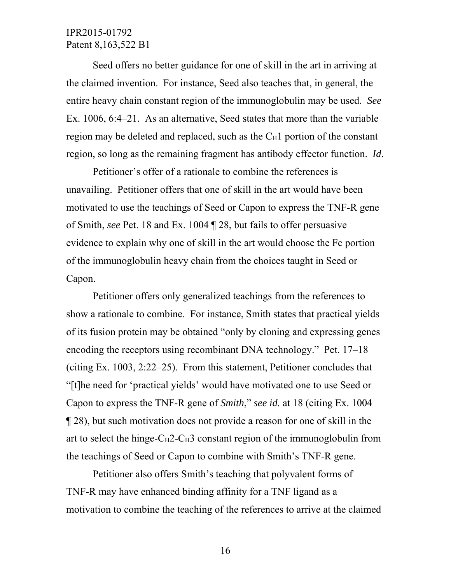Seed offers no better guidance for one of skill in the art in arriving at the claimed invention. For instance, Seed also teaches that, in general, the entire heavy chain constant region of the immunoglobulin may be used. *See* Ex. 1006, 6:4–21. As an alternative, Seed states that more than the variable region may be deleted and replaced, such as the  $C_H1$  portion of the constant region, so long as the remaining fragment has antibody effector function. *Id*.

Petitioner's offer of a rationale to combine the references is unavailing. Petitioner offers that one of skill in the art would have been motivated to use the teachings of Seed or Capon to express the TNF-R gene of Smith, *see* Pet. 18 and Ex. 1004 ¶ 28, but fails to offer persuasive evidence to explain why one of skill in the art would choose the Fc portion of the immunoglobulin heavy chain from the choices taught in Seed or Capon.

Petitioner offers only generalized teachings from the references to show a rationale to combine. For instance, Smith states that practical yields of its fusion protein may be obtained "only by cloning and expressing genes encoding the receptors using recombinant DNA technology." Pet. 17–18 (citing Ex. 1003, 2:22–25). From this statement, Petitioner concludes that "[t]he need for 'practical yields' would have motivated one to use Seed or Capon to express the TNF-R gene of *Smith*," *see id.* at 18 (citing Ex. 1004 ¶ 28), but such motivation does not provide a reason for one of skill in the art to select the hinge- $C_H$ 2- $C_H$ 3 constant region of the immunoglobulin from the teachings of Seed or Capon to combine with Smith's TNF-R gene.

Petitioner also offers Smith's teaching that polyvalent forms of TNF-R may have enhanced binding affinity for a TNF ligand as a motivation to combine the teaching of the references to arrive at the claimed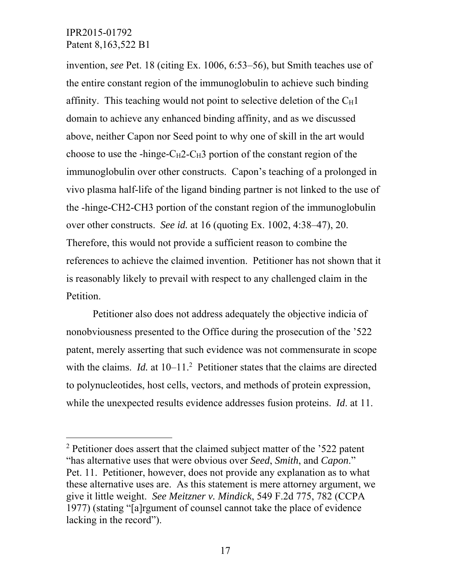-

invention, *see* Pet. 18 (citing Ex. 1006, 6:53–56), but Smith teaches use of the entire constant region of the immunoglobulin to achieve such binding affinity. This teaching would not point to selective deletion of the  $C_H1$ domain to achieve any enhanced binding affinity, and as we discussed above, neither Capon nor Seed point to why one of skill in the art would choose to use the -hinge- $C_H$ 2- $C_H$ 3 portion of the constant region of the immunoglobulin over other constructs. Capon's teaching of a prolonged in vivo plasma half-life of the ligand binding partner is not linked to the use of the -hinge-CH2-CH3 portion of the constant region of the immunoglobulin over other constructs. *See id.* at 16 (quoting Ex. 1002, 4:38–47), 20. Therefore, this would not provide a sufficient reason to combine the references to achieve the claimed invention. Petitioner has not shown that it is reasonably likely to prevail with respect to any challenged claim in the Petition.

Petitioner also does not address adequately the objective indicia of nonobviousness presented to the Office during the prosecution of the '522 patent, merely asserting that such evidence was not commensurate in scope with the claims.  $Id$ . at  $10-11$ <sup>2</sup> Petitioner states that the claims are directed to polynucleotides, host cells, vectors, and methods of protein expression, while the unexpected results evidence addresses fusion proteins. *Id*. at 11.

<sup>&</sup>lt;sup>2</sup> Petitioner does assert that the claimed subject matter of the '522 patent "has alternative uses that were obvious over *Seed*, *Smith*, and *Capon*." Pet. 11. Petitioner, however, does not provide any explanation as to what these alternative uses are. As this statement is mere attorney argument, we give it little weight. *See Meitzner v. Mindick*, 549 F.2d 775, 782 (CCPA 1977) (stating "[a]rgument of counsel cannot take the place of evidence lacking in the record").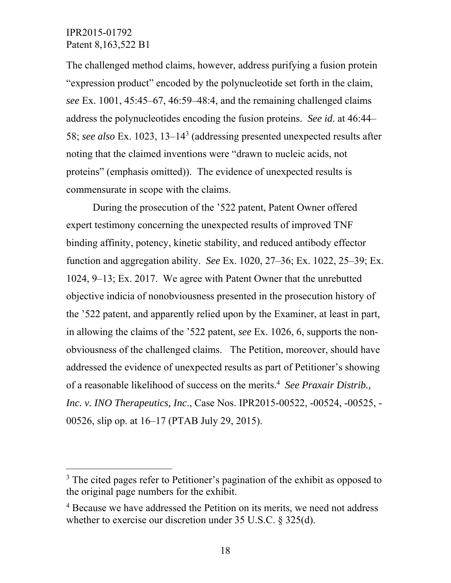$\overline{a}$ 

The challenged method claims, however, address purifying a fusion protein "expression product" encoded by the polynucleotide set forth in the claim, *see* Ex. 1001, 45:45–67, 46:59–48:4, and the remaining challenged claims address the polynucleotides encoding the fusion proteins. *See id*. at 46:44– 58; *see also* Ex. 1023, 13–143 (addressing presented unexpected results after noting that the claimed inventions were "drawn to nucleic acids, not proteins" (emphasis omitted)). The evidence of unexpected results is commensurate in scope with the claims.

During the prosecution of the '522 patent, Patent Owner offered expert testimony concerning the unexpected results of improved TNF binding affinity, potency, kinetic stability, and reduced antibody effector function and aggregation ability. *See* Ex. 1020, 27–36; Ex. 1022, 25–39; Ex. 1024, 9–13; Ex. 2017. We agree with Patent Owner that the unrebutted objective indicia of nonobviousness presented in the prosecution history of the '522 patent, and apparently relied upon by the Examiner, at least in part, in allowing the claims of the '522 patent, *see* Ex. 1026, 6, supports the nonobviousness of the challenged claims. The Petition, moreover, should have addressed the evidence of unexpected results as part of Petitioner's showing of a reasonable likelihood of success on the merits.4 *See Praxair Distrib., Inc. v. INO Therapeutics, Inc*., Case Nos. IPR2015-00522, -00524, -00525, - 00526, slip op. at 16–17 (PTAB July 29, 2015).

<sup>&</sup>lt;sup>3</sup> The cited pages refer to Petitioner's pagination of the exhibit as opposed to the original page numbers for the exhibit.

<sup>&</sup>lt;sup>4</sup> Because we have addressed the Petition on its merits, we need not address whether to exercise our discretion under 35 U.S.C. § 325(d).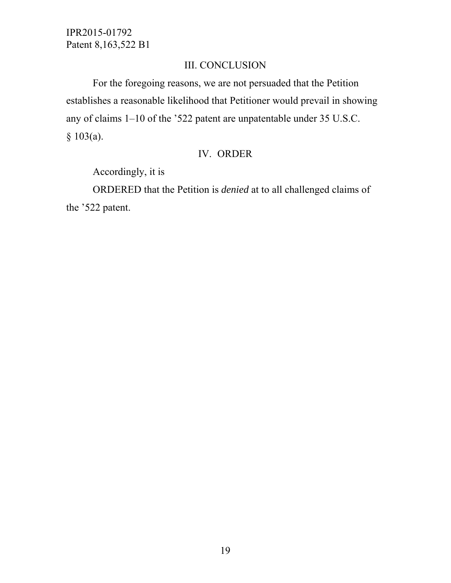## III. CONCLUSION

For the foregoing reasons, we are not persuaded that the Petition establishes a reasonable likelihood that Petitioner would prevail in showing any of claims 1–10 of the '522 patent are unpatentable under 35 U.S.C.  $§ 103(a).$ 

## IV. ORDER

Accordingly, it is

ORDERED that the Petition is *denied* at to all challenged claims of the '522 patent.